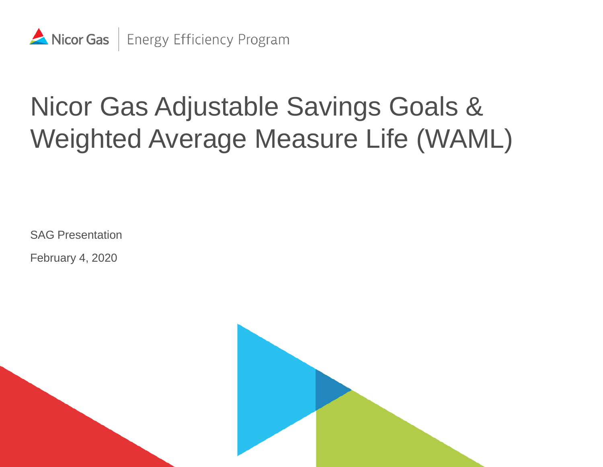

# Nicor Gas Adjustable Savings Goals & Weighted Average Measure Life (WAML)

SAG Presentation

February 4, 2020

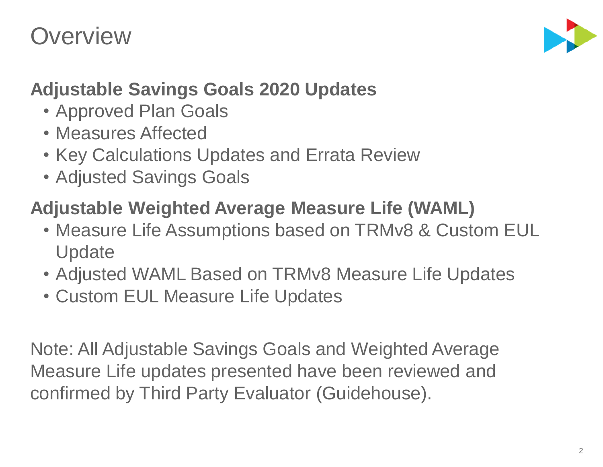#### **Overview**



#### **Adjustable Savings Goals 2020 Updates**

- Approved Plan Goals
- Measures Affected
- Key Calculations Updates and Errata Review
- Adjusted Savings Goals

#### **Adjustable Weighted Average Measure Life (WAML)**

- Measure Life Assumptions based on TRMv8 & Custom EUL **Update**
- Adjusted WAML Based on TRMv8 Measure Life Updates
- Custom EUL Measure Life Updates

Note: All Adjustable Savings Goals and Weighted Average Measure Life updates presented have been reviewed and confirmed by Third Party Evaluator (Guidehouse).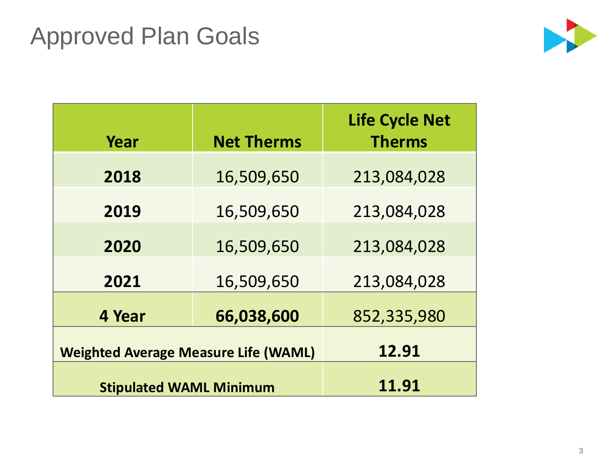#### Approved Plan Goals



| Year                                        | <b>Net Therms</b> | <b>Life Cycle Net</b><br><b>Therms</b> |
|---------------------------------------------|-------------------|----------------------------------------|
| 2018                                        | 16,509,650        | 213,084,028                            |
| 2019                                        | 16,509,650        | 213,084,028                            |
| 2020                                        | 16,509,650        | 213,084,028                            |
| 2021                                        | 16,509,650        | 213,084,028                            |
| 4 Year                                      | 852,335,980       |                                        |
| <b>Weighted Average Measure Life (WAML)</b> | 12.91             |                                        |
| <b>Stipulated WAML Minimum</b>              | 11.91             |                                        |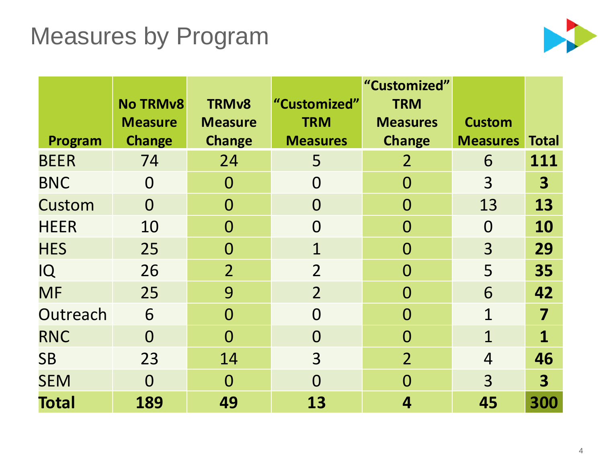#### Measures by Program



|              |                                   |                                |                            | "Customized"                  |                 |                         |
|--------------|-----------------------------------|--------------------------------|----------------------------|-------------------------------|-----------------|-------------------------|
|              | <b>No TRMv8</b><br><b>Measure</b> | <b>TRMv8</b><br><b>Measure</b> | "Customized"<br><b>TRM</b> | <b>TRM</b><br><b>Measures</b> | <b>Custom</b>   |                         |
| Program      | <b>Change</b>                     | <b>Change</b>                  | <b>Measures</b>            | <b>Change</b>                 | <b>Measures</b> | <b>Total</b>            |
| <b>BEER</b>  | 74                                | 24                             | 5                          | $\overline{2}$                | 6               | 111                     |
| <b>BNC</b>   | $\overline{0}$                    | $\overline{0}$                 | $\overline{0}$             | $\overline{0}$                | 3               | $\overline{\mathbf{3}}$ |
| Custom       | $\Omega$                          | $\Omega$                       | $\overline{0}$             | $\overline{0}$                | 13              | 13                      |
| <b>HEER</b>  | 10                                | $\Omega$                       | $\overline{0}$             | $\overline{0}$                | $\overline{0}$  | 10                      |
| <b>HES</b>   | 25                                | $\Omega$                       | 1                          | $\overline{0}$                | 3               | 29                      |
| IQ           | 26                                | $\overline{2}$                 | $\overline{2}$             | $\overline{0}$                | 5               | 35                      |
| <b>MF</b>    | 25                                | 9                              | $\overline{2}$             | $\overline{0}$                | 6               | 42                      |
| Outreach     | 6                                 | $\Omega$                       | $\Omega$                   | $\Omega$                      | $\overline{1}$  | 7                       |
| <b>RNC</b>   | $\Omega$                          | $\Omega$                       | $\overline{0}$             | $\overline{0}$                | $\mathbf{1}$    | $\mathbf{1}$            |
| <b>SB</b>    | 23                                | 14                             | 3                          | $\overline{2}$                | 4               | 46                      |
| <b>SEM</b>   | $\Omega$                          | $\Omega$                       | $\overline{0}$             | $\Omega$                      | 3               | $\overline{\mathbf{3}}$ |
| <b>Total</b> | 189                               | 49                             | 13                         | 4                             | 45              | 300                     |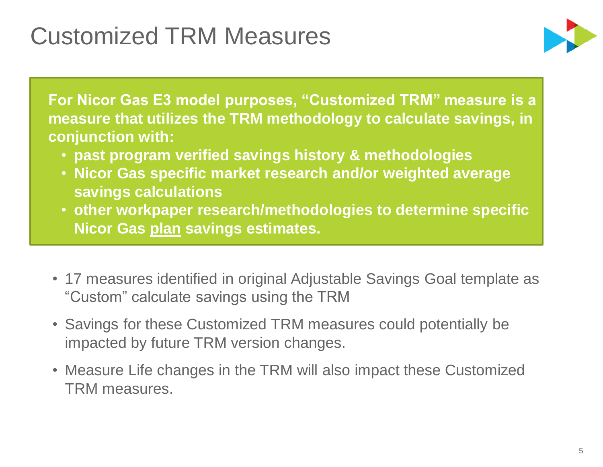### Customized TRM Measures



**For Nicor Gas E3 model purposes, "Customized TRM" measure is a measure that utilizes the TRM methodology to calculate savings, in conjunction with:** 

- **past program verified savings history & methodologies**
- **Nicor Gas specific market research and/or weighted average savings calculations**
- **other workpaper research/methodologies to determine specific Nicor Gas plan savings estimates.**
- 17 measures identified in original Adjustable Savings Goal template as "Custom" calculate savings using the TRM
- Savings for these Customized TRM measures could potentially be impacted by future TRM version changes.
- Measure Life changes in the TRM will also impact these Customized TRM measures.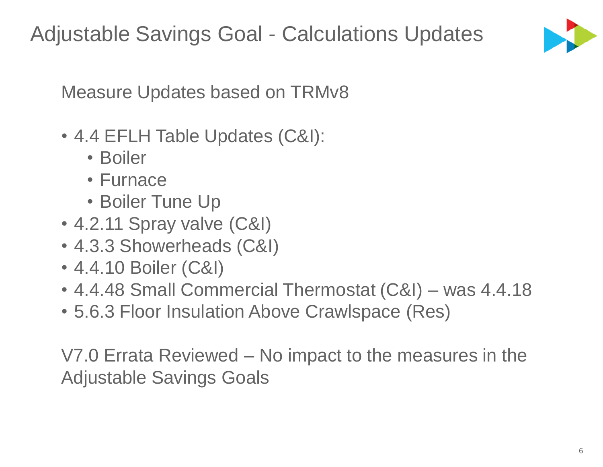

Measure Updates based on TRMv8

- 4.4 EFLH Table Updates (C&I):
	- Boiler
	- Furnace
	- Boiler Tune Up
- 4.2.11 Spray valve (C&I)
- 4.3.3 Showerheads (C&I)
- 4.4.10 Boiler (C&I)
- 4.4.48 Small Commercial Thermostat (C&I) was 4.4.18
- 5.6.3 Floor Insulation Above Crawlspace (Res)

V7.0 Errata Reviewed – No impact to the measures in the Adjustable Savings Goals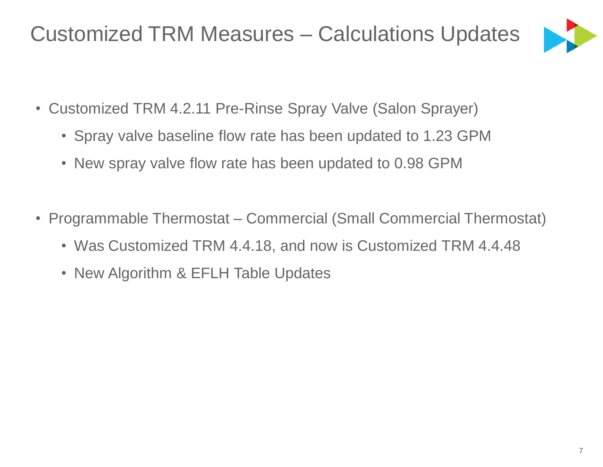#### Customized TRM Measures – Calculations Updates



- Customized TRM 4.2.11 Pre-Rinse Spray Valve (Salon Sprayer)
	- Spray valve baseline flow rate has been updated to 1.23 GPM
	- New spray valve flow rate has been updated to 0.98 GPM
- Programmable Thermostat Commercial (Small Commercial Thermostat)
	- Was Customized TRM 4.4.18, and now is Customized TRM 4.4.48
	- New Algorithm & EFLH Table Updates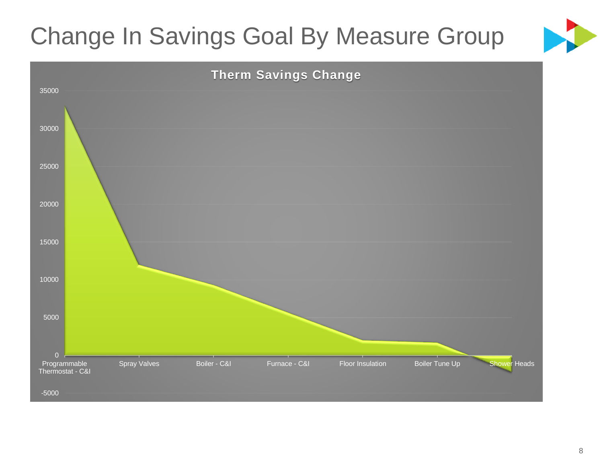## Change In Savings Goal By Measure Group



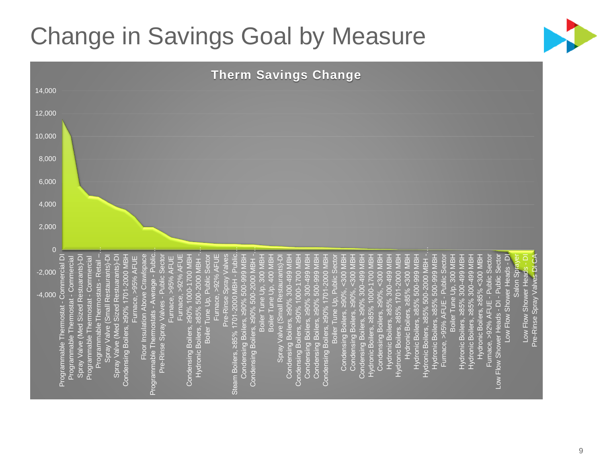### Change in Savings Goal by Measure



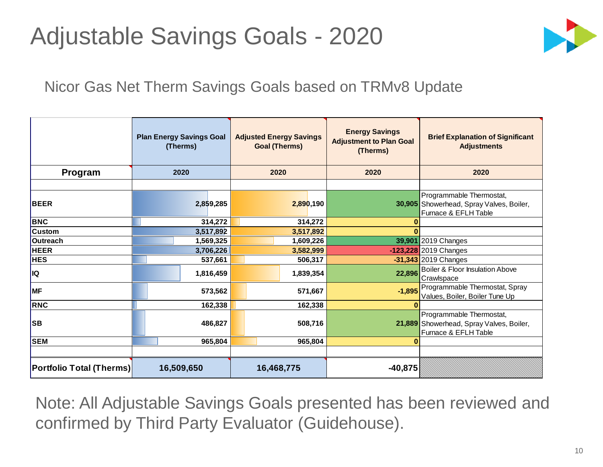#### Adjustable Savings Goals - 2020



#### Nicor Gas Net Therm Savings Goals based on TRMv8 Update

|                                 | (Therms)   | <b>Adjusted Energy Savings</b><br><b>Plan Energy Savings Goal</b><br><b>Goal (Therms)</b> |            |         |           |                                                                                              |                                                                                              |  |  |  |  |  |  |  |  | <b>Energy Savings</b><br><b>Adjustment to Plan Goal</b><br>(Therms) | <b>Brief Explanation of Significant</b><br><b>Adjustments</b> |
|---------------------------------|------------|-------------------------------------------------------------------------------------------|------------|---------|-----------|----------------------------------------------------------------------------------------------|----------------------------------------------------------------------------------------------|--|--|--|--|--|--|--|--|---------------------------------------------------------------------|---------------------------------------------------------------|
| Program                         | 2020       |                                                                                           | 2020       |         | 2020      | 2020                                                                                         |                                                                                              |  |  |  |  |  |  |  |  |                                                                     |                                                               |
|                                 |            |                                                                                           |            |         |           |                                                                                              |                                                                                              |  |  |  |  |  |  |  |  |                                                                     |                                                               |
| <b>BEER</b>                     |            | 2,859,285                                                                                 |            |         | 2,890,190 |                                                                                              | Programmable Thermostat,<br>30,905 Showerhead, Spray Valves, Boiler,<br>Furnace & EFLH Table |  |  |  |  |  |  |  |  |                                                                     |                                                               |
| <b>BNC</b>                      | 314,272    |                                                                                           |            | 314,272 |           | $\mathbf 0$                                                                                  |                                                                                              |  |  |  |  |  |  |  |  |                                                                     |                                                               |
| <b>Custom</b>                   |            | 3,517,892                                                                                 | 3,517,892  |         | $\bf{0}$  |                                                                                              |                                                                                              |  |  |  |  |  |  |  |  |                                                                     |                                                               |
| Outreach                        |            | 1,569,325                                                                                 | 1,609,226  |         |           | 39,901 2019 Changes                                                                          |                                                                                              |  |  |  |  |  |  |  |  |                                                                     |                                                               |
| <b>HEER</b>                     |            | 3,706,226                                                                                 | 3,582,999  |         |           | $-123,228$ 2019 Changes                                                                      |                                                                                              |  |  |  |  |  |  |  |  |                                                                     |                                                               |
| <b>HES</b>                      |            | 537,661                                                                                   | 506,317    |         |           | $-31,343$ 2019 Changes                                                                       |                                                                                              |  |  |  |  |  |  |  |  |                                                                     |                                                               |
| <b>I</b> IQ                     |            | 1,816,459                                                                                 | 1,839,354  |         | 22,896    | Boiler & Floor Insulation Above<br>Crawlspace                                                |                                                                                              |  |  |  |  |  |  |  |  |                                                                     |                                                               |
| <b>MF</b>                       |            | 573,562                                                                                   | 571,667    |         | $-1,895$  | Programmable Thermostat, Spray<br>Values, Boiler, Boiler Tune Up                             |                                                                                              |  |  |  |  |  |  |  |  |                                                                     |                                                               |
| RNC                             |            | 162,338                                                                                   | 162,338    |         | $\bf{0}$  |                                                                                              |                                                                                              |  |  |  |  |  |  |  |  |                                                                     |                                                               |
| <b>SB</b>                       | 486,827    |                                                                                           | 508,716    |         |           | Programmable Thermostat,<br>21,889 Showerhead, Spray Valves, Boiler,<br>Furnace & EFLH Table |                                                                                              |  |  |  |  |  |  |  |  |                                                                     |                                                               |
| <b>SEM</b>                      | 965,804    |                                                                                           |            |         | 965,804   | $\bf{0}$                                                                                     |                                                                                              |  |  |  |  |  |  |  |  |                                                                     |                                                               |
|                                 |            |                                                                                           |            |         |           |                                                                                              |                                                                                              |  |  |  |  |  |  |  |  |                                                                     |                                                               |
| <b>Portfolio Total (Therms)</b> | 16,509,650 |                                                                                           | 16,468,775 |         |           | $-40,875$                                                                                    |                                                                                              |  |  |  |  |  |  |  |  |                                                                     |                                                               |

Note: All Adjustable Savings Goals presented has been reviewed and confirmed by Third Party Evaluator (Guidehouse).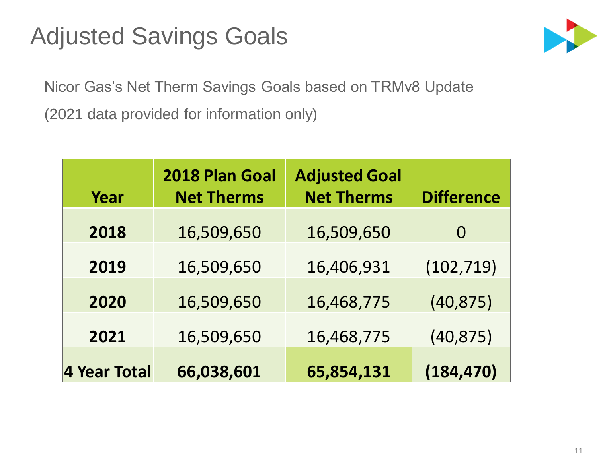#### Adjusted Savings Goals



Nicor Gas's Net Therm Savings Goals based on TRMv8 Update (2021 data provided for information only)

| Year         | 2018 Plan Goal<br><b>Net Therms</b> | <b>Adjusted Goal</b><br><b>Net Therms</b> | <b>Difference</b> |
|--------------|-------------------------------------|-------------------------------------------|-------------------|
| 2018         | 16,509,650                          | 16,509,650                                | $\Omega$          |
| 2019         | 16,509,650                          | 16,406,931                                | (102, 719)        |
| 2020         | 16,509,650                          | 16,468,775                                | (40, 875)         |
| 2021         | 16,509,650                          | 16,468,775                                | (40, 875)         |
| 4 Year Total | 66,038,601                          | 65,854,131                                | (184, 470)        |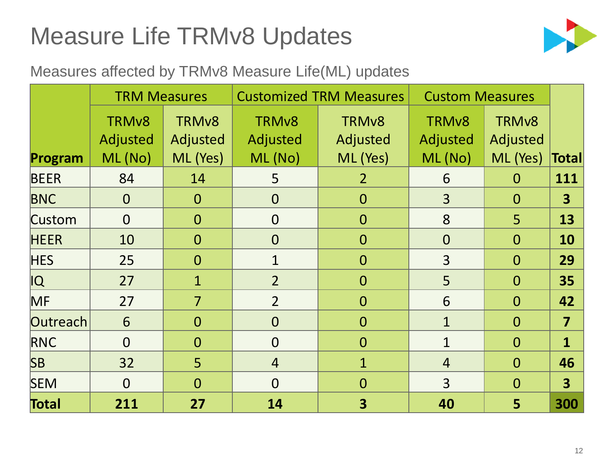## Measure Life TRMv8 Updates



#### Measures affected by TRMv8 Measure Life(ML) updates

|               | <b>TRM Measures</b>                  |                               |                                | <b>Customized TRM Measures</b> | <b>Custom Measures</b>        |                               |                         |
|---------------|--------------------------------------|-------------------------------|--------------------------------|--------------------------------|-------------------------------|-------------------------------|-------------------------|
|               | TRM <sub>v8</sub><br><b>Adjusted</b> | TRM <sub>v8</sub><br>Adjusted | TRM <sub>v</sub> 8<br>Adjusted | TRM <sub>v</sub> 8<br>Adjusted | TRM <sub>v8</sub><br>Adjusted | TRM <sub>v8</sub><br>Adjusted |                         |
| Program       | ML (No)                              | ML (Yes)                      | ML (No)                        | ML (Yes)                       | ML (No)                       | ML (Yes)                      | <b>Total</b>            |
| <b>BEER</b>   | 84                                   | 14                            | 5                              | 2 <sup>1</sup>                 | 6                             | $\overline{0}$                | 111                     |
| <b>BNC</b>    | $\overline{0}$                       | $\overline{0}$                | $\overline{O}$                 | $\overline{0}$                 | $\overline{3}$                | $\overline{0}$                | $\overline{\mathbf{3}}$ |
| <b>Custom</b> | $\Omega$                             | $\overline{0}$                | $\overline{O}$                 | $\overline{0}$                 | 8                             | 5                             | 13                      |
| <b>HEER</b>   | 10                                   | $\overline{0}$                | $\overline{0}$                 | $\overline{0}$                 | $\overline{0}$                | $\overline{0}$                | <b>10</b>               |
| <b>HES</b>    | 25                                   | $\overline{O}$                | $\mathbf{1}$                   | $\overline{0}$                 | $\overline{3}$                | $\Omega$                      | 29                      |
| IQ            | 27                                   | $\mathbf{1}$                  | $\overline{2}$                 | $\overline{0}$                 | 5                             | $\overline{0}$                | 35                      |
| MF            | 27                                   | $\overline{7}$                | $\overline{2}$                 | $\overline{0}$                 | 6                             | $\overline{O}$                | 42                      |
| Outreach      | 6                                    | $\overline{0}$                | $\Omega$                       | $\overline{0}$                 | $\mathbf{1}$                  | $\overline{O}$                | $\overline{\mathbf{7}}$ |
| <b>RNC</b>    | $\Omega$                             | $\overline{0}$                | $\Omega$                       | $\overline{0}$                 | $\mathbf{1}$                  | $\Omega$                      | $\mathbf{1}$            |
| SB            | 32                                   | 5                             | $\overline{4}$                 | $\mathbf{1}$                   | $\overline{4}$                | $\overline{O}$                | 46                      |
| <b>SEM</b>    | $\Omega$                             | $\overline{0}$                | $\Omega$                       | $\overline{0}$                 | $\overline{3}$                | $\Omega$                      | $\overline{\mathbf{3}}$ |
| Total         | 211                                  | 27                            | 14                             | $\overline{\mathbf{3}}$        | 40                            | 5                             | 300                     |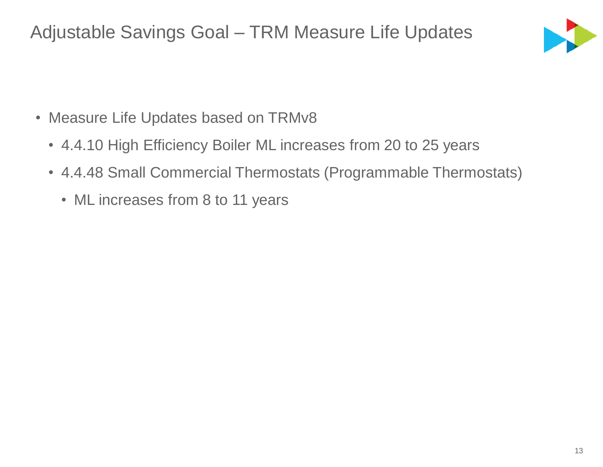Adjustable Savings Goal – TRM Measure Life Updates



- Measure Life Updates based on TRMv8
	- 4.4.10 High Efficiency Boiler ML increases from 20 to 25 years
	- 4.4.48 Small Commercial Thermostats (Programmable Thermostats)
		- ML increases from 8 to 11 years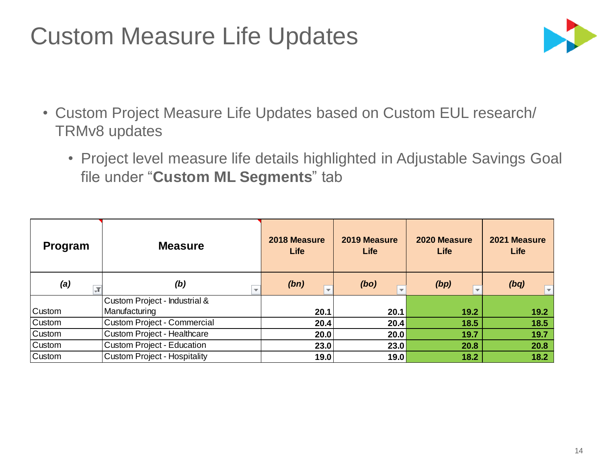#### Custom Measure Life Updates



- Custom Project Measure Life Updates based on Custom EUL research/ TRMv8 updates
	- Project level measure life details highlighted in Adjustable Savings Goal file under "**Custom ML Segments**" tab

| Program                         | <b>Measure</b>                      | 2018 Measure<br>Life             | 2019 Measure<br><b>Life</b>      | 2020 Measure<br>Life             | 2021 Measure<br>Life            |
|---------------------------------|-------------------------------------|----------------------------------|----------------------------------|----------------------------------|---------------------------------|
| (a)<br>$\overline{\phantom{a}}$ | (b)<br>$\overline{\phantom{a}}$     | (bn)<br>$\overline{\phantom{a}}$ | (bo)<br>$\overline{\phantom{a}}$ | (bp)<br>$\overline{\phantom{a}}$ | (bq)<br>$\overline{\mathbf{v}}$ |
|                                 | Custom Project - Industrial &       |                                  |                                  |                                  |                                 |
| <b>Custom</b>                   | Manufacturing                       | 20.1                             | 20.1                             | 19.2                             | 19.2                            |
| <b>Custom</b>                   | <b>Custom Project - Commercial</b>  | 20.4                             | 20.4                             | 18.5                             | 18.5                            |
| <b>Custom</b>                   | <b>Custom Project - Healthcare</b>  | 20.0                             | 20.0                             | 19.7                             | 19.7                            |
| <b>Custom</b>                   | <b>Custom Project - Education</b>   | 23.0                             | 23.0                             | 20.8                             | 20.8                            |
| <b>Custom</b>                   | <b>Custom Project - Hospitality</b> | 19.0                             | 19.0                             | 18.2                             | 18.2                            |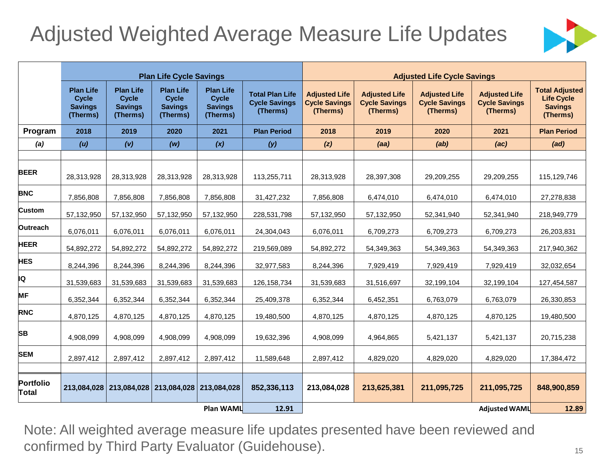#### Adjusted Weighted Average Measure Life Updates



|                           |                                                                |                                                                | <b>Plan Life Cycle Savings</b>                                 |                                                                |                                                            | <b>Adjusted Life Cycle Savings</b>                       |                                                          |                                                          |                                                          |                                                                          |  |
|---------------------------|----------------------------------------------------------------|----------------------------------------------------------------|----------------------------------------------------------------|----------------------------------------------------------------|------------------------------------------------------------|----------------------------------------------------------|----------------------------------------------------------|----------------------------------------------------------|----------------------------------------------------------|--------------------------------------------------------------------------|--|
|                           | <b>Plan Life</b><br><b>Cycle</b><br><b>Savings</b><br>(Therms) | <b>Plan Life</b><br><b>Cycle</b><br><b>Savings</b><br>(Therms) | <b>Plan Life</b><br><b>Cycle</b><br><b>Savings</b><br>(Therms) | <b>Plan Life</b><br><b>Cycle</b><br><b>Savings</b><br>(Therms) | <b>Total Plan Life</b><br><b>Cycle Savings</b><br>(Therms) | <b>Adjusted Life</b><br><b>Cycle Savings</b><br>(Therms) | <b>Adjusted Life</b><br><b>Cycle Savings</b><br>(Therms) | <b>Adjusted Life</b><br><b>Cycle Savings</b><br>(Therms) | <b>Adjusted Life</b><br><b>Cycle Savings</b><br>(Therms) | <b>Total Adjusted</b><br><b>Life Cycle</b><br><b>Savings</b><br>(Therms) |  |
| Program                   | 2018                                                           | 2019                                                           | 2020                                                           | 2021                                                           | <b>Plan Period</b>                                         | 2018                                                     | 2019                                                     | 2020                                                     | 2021                                                     | <b>Plan Period</b>                                                       |  |
| (a)                       | (u)                                                            | (v)                                                            | (w)                                                            | (x)                                                            | (y)                                                        | (z)                                                      | (aa)                                                     | (ab)                                                     | (ac)                                                     | (ad)                                                                     |  |
|                           |                                                                |                                                                |                                                                |                                                                |                                                            |                                                          |                                                          |                                                          |                                                          |                                                                          |  |
| <b>BEER</b>               | 28,313,928                                                     | 28,313,928                                                     | 28,313,928                                                     | 28,313,928                                                     | 113,255,711                                                | 28,313,928                                               | 28,397,308                                               | 29,209,255                                               | 29,209,255                                               | 115,129,746                                                              |  |
| <b>BNC</b>                | 7,856,808                                                      | 7,856,808                                                      | 7,856,808                                                      | 7,856,808                                                      | 31,427,232                                                 | 7,856,808                                                | 6,474,010                                                | 6,474,010                                                | 6,474,010                                                | 27,278,838                                                               |  |
| <b>Custom</b>             | 57,132,950                                                     | 57,132,950                                                     | 57,132,950                                                     | 57,132,950                                                     | 228,531,798                                                | 57,132,950                                               | 57,132,950                                               | 52,341,940                                               | 52,341,940                                               | 218,949,779                                                              |  |
| <b>Outreach</b>           | 6,076,011                                                      | 6,076,011                                                      | 6,076,011                                                      | 6,076,011                                                      | 24,304,043                                                 | 6,076,011                                                | 6,709,273                                                | 6,709,273                                                | 6,709,273                                                | 26,203,831                                                               |  |
| <b>HEER</b>               | 54,892,272                                                     | 54,892,272                                                     | 54,892,272                                                     | 54,892,272                                                     | 219,569,089                                                | 54,892,272                                               | 54,349,363                                               | 54,349,363                                               | 54,349,363                                               | 217,940,362                                                              |  |
| <b>HES</b>                | 8,244,396                                                      | 8,244,396                                                      | 8,244,396                                                      | 8,244,396                                                      | 32,977,583                                                 | 8,244,396                                                | 7,929,419                                                | 7,929,419                                                | 7,929,419                                                | 32,032,654                                                               |  |
| IQ                        | 31,539,683                                                     | 31,539,683                                                     | 31,539,683                                                     | 31,539,683                                                     | 126, 158, 734                                              | 31,539,683                                               | 31,516,697                                               | 32,199,104                                               | 32,199,104                                               | 127,454,587                                                              |  |
| <b>MF</b>                 | 6,352,344                                                      | 6,352,344                                                      | 6,352,344                                                      | 6,352,344                                                      | 25,409,378                                                 | 6,352,344                                                | 6,452,351                                                | 6,763,079                                                | 6,763,079                                                | 26,330,853                                                               |  |
| <b>RNC</b>                | 4,870,125                                                      | 4,870,125                                                      | 4,870,125                                                      | 4,870,125                                                      | 19,480,500                                                 | 4,870,125                                                | 4,870,125                                                | 4,870,125                                                | 4,870,125                                                | 19,480,500                                                               |  |
| <b>SB</b>                 | 4,908,099                                                      | 4,908,099                                                      | 4,908,099                                                      | 4,908,099                                                      | 19,632,396                                                 | 4,908,099                                                | 4,964,865                                                | 5,421,137                                                | 5,421,137                                                | 20,715,238                                                               |  |
| <b>SEM</b>                | 2,897,412                                                      | 2,897,412                                                      | 2,897,412                                                      | 2,897,412                                                      | 11,589,648                                                 | 2,897,412                                                | 4,829,020                                                | 4,829,020                                                | 4,829,020                                                | 17,384,472                                                               |  |
| Portfolio<br><b>Total</b> | 213,084,028                                                    | 213,084,028                                                    | 213,084,028 213,084,028                                        |                                                                | 852,336,113                                                | 213,084,028                                              | 213,625,381                                              | 211,095,725                                              | 211,095,725                                              | 848,900,859                                                              |  |
|                           |                                                                |                                                                |                                                                | Plan WAML                                                      | 12.91                                                      |                                                          |                                                          |                                                          | <b>Adjusted WAML</b>                                     | 12.89                                                                    |  |

Note: All weighted average measure life updates presented have been reviewed and confirmed by Third Party Evaluator (Guidehouse).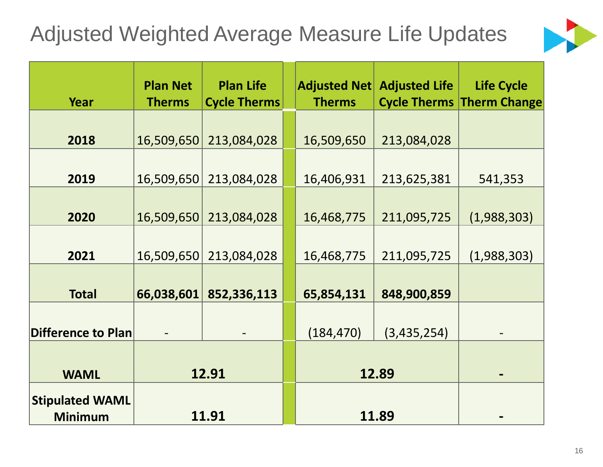#### Adjusted Weighted Average Measure Life Updates



| <b>Year</b>                              | <b>Plan Net</b><br><b>Therms</b> | <b>Plan Life</b><br><b>Cycle Therms</b> |  | <b>Adjusted Net</b><br><b>Therms</b> | <b>Adjusted Life</b> | <b>Life Cycle</b><br><b>Cycle Therms Therm Change</b> |
|------------------------------------------|----------------------------------|-----------------------------------------|--|--------------------------------------|----------------------|-------------------------------------------------------|
| 2018                                     | 16,509,650                       | 213,084,028                             |  | 16,509,650                           | 213,084,028          |                                                       |
| 2019                                     | 16,509,650                       | 213,084,028                             |  | 16,406,931                           | 213,625,381          | 541,353                                               |
| 2020                                     | 16,509,650                       | 213,084,028                             |  | 16,468,775                           | 211,095,725          | (1,988,303)                                           |
| 2021                                     | 16,509,650                       | 213,084,028                             |  | 16,468,775                           | 211,095,725          | (1,988,303)                                           |
| <b>Total</b>                             | 66,038,601                       | 852,336,113                             |  | 65,854,131                           | 848,900,859          |                                                       |
| <b>Difference to Plan</b>                |                                  |                                         |  | (184, 470)                           | (3,435,254)          |                                                       |
| <b>WAML</b>                              | 12.91                            |                                         |  | 12.89                                |                      |                                                       |
| <b>Stipulated WAML</b><br><b>Minimum</b> | 11.91                            |                                         |  |                                      | 11.89                |                                                       |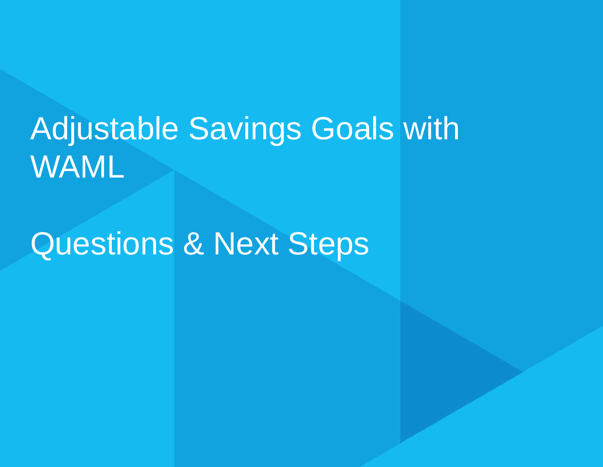# Adjustable Savings Goals with WAML

# Questions & Next Steps